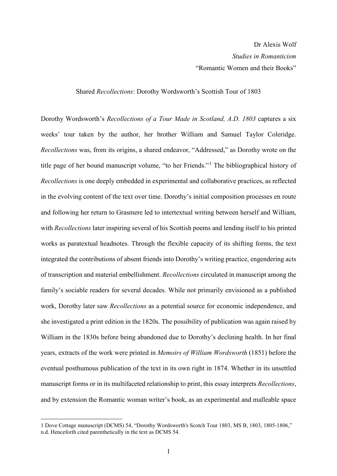## Shared *Recollections*: Dorothy Wordsworth's Scottish Tour of 1803

Dorothy Wordsworth's *Recollections of a Tour Made in Scotland, A.D. 1803* captures a six weeks' tour taken by the author, her brother William and Samuel Taylor Coleridge. *Recollections* was, from its origins, a shared endeavor, "Addressed," as Dorothy wrote on the title page of her bound manuscript volume, "to her Friends."[1](#page-0-0) The bibliographical history of *Recollections* is one deeply embedded in experimental and collaborative practices, as reflected in the evolving content of the text over time. Dorothy's initial composition processes en route and following her return to Grasmere led to intertextual writing between herself and William, with *Recollections* later inspiring several of his Scottish poems and lending itself to his printed works as paratextual headnotes. Through the flexible capacity of its shifting forms, the text integrated the contributions of absent friends into Dorothy's writing practice, engendering acts of transcription and material embellishment. *Recollections* circulated in manuscript among the family's sociable readers for several decades. While not primarily envisioned as a published work, Dorothy later saw *Recollections* as a potential source for economic independence, and she investigated a print edition in the 1820s. The possibility of publication was again raised by William in the 1830s before being abandoned due to Dorothy's declining health. In her final years, extracts of the work were printed in *Memoirs of William Wordsworth* (1851) before the eventual posthumous publication of the text in its own right in 1874. Whether in its unsettled manuscript forms or in its multifaceted relationship to print, this essay interprets *Recollections*, and by extension the Romantic woman writer's book, as an experimental and malleable space

<span id="page-0-0"></span> $\overline{a}$ 1 Dove Cottage manuscript (DCMS) 54, "Dorothy Wordsworth's Scotch Tour 1803, MS B, 1803, 1805-1806," n.d. Henceforth cited parenthetically in the text as DCMS 54.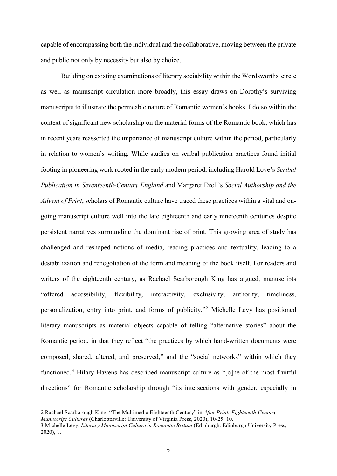capable of encompassing both the individual and the collaborative, moving between the private and public not only by necessity but also by choice.

Building on existing examinations of literary sociability within the Wordsworths' circle as well as manuscript circulation more broadly, this essay draws on Dorothy's surviving manuscripts to illustrate the permeable nature of Romantic women's books. I do so within the context of significant new scholarship on the material forms of the Romantic book, which has in recent years reasserted the importance of manuscript culture within the period, particularly in relation to women's writing. While studies on scribal publication practices found initial footing in pioneering work rooted in the early modern period, including Harold Love's *Scribal Publication in Seventeenth-Century England* and Margaret Ezell's *Social Authorship and the Advent of Print*, scholars of Romantic culture have traced these practices within a vital and ongoing manuscript culture well into the late eighteenth and early nineteenth centuries despite persistent narratives surrounding the dominant rise of print. This growing area of study has challenged and reshaped notions of media, reading practices and textuality, leading to a destabilization and renegotiation of the form and meaning of the book itself. For readers and writers of the eighteenth century, as Rachael Scarborough King has argued, manuscripts "offered accessibility, flexibility, interactivity, exclusivity, authority, timeliness, personalization, entry into print, and forms of publicity."[2](#page-1-0) Michelle Levy has positioned literary manuscripts as material objects capable of telling "alternative stories" about the Romantic period, in that they reflect "the practices by which hand-written documents were composed, shared, altered, and preserved," and the "social networks" within which they functioned.<sup>[3](#page-1-1)</sup> Hilary Havens has described manuscript culture as "[o]ne of the most fruitful directions" for Romantic scholarship through "its intersections with gender, especially in

<span id="page-1-0"></span><sup>2</sup> Rachael Scarborough King, "The Multimedia Eighteenth Century" in *After Print: Eighteenth-Century Manuscript Cultures* (Charlottesville: University of Virginia Press, 2020), 10-25; 10.

<span id="page-1-1"></span><sup>3</sup> Michelle Levy, *Literary Manuscript Culture in Romantic Britain* (Edinburgh: Edinburgh University Press, 2020), 1.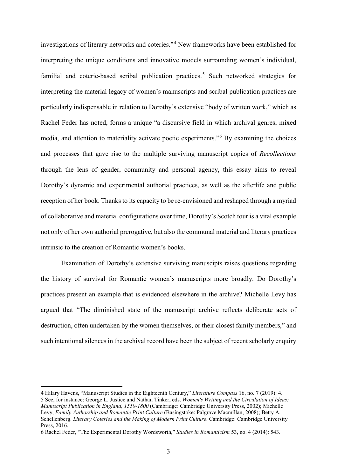investigations of literary networks and coteries."[4](#page-2-0) New frameworks have been established for interpreting the unique conditions and innovative models surrounding women's individual, familial and coterie-based scribal publication practices.<sup>[5](#page-2-1)</sup> Such networked strategies for interpreting the material legacy of women's manuscripts and scribal publication practices are particularly indispensable in relation to Dorothy's extensive "body of written work," which as Rachel Feder has noted, forms a unique "a discursive field in which archival genres, mixed media, and attention to materiality activate poetic experiments."[6](#page-2-2) By examining the choices and processes that gave rise to the multiple surviving manuscript copies of *Recollections* through the lens of gender, community and personal agency, this essay aims to reveal Dorothy's dynamic and experimental authorial practices, as well as the afterlife and public reception of her book. Thanks to its capacity to be re-envisioned and reshaped through a myriad of collaborative and material configurations over time, Dorothy's Scotch tour is a vital example not only of her own authorial prerogative, but also the communal material and literary practices intrinsic to the creation of Romantic women's books.

Examination of Dorothy's extensive surviving manuscipts raises questions regarding the history of survival for Romantic women's manuscripts more broadly. Do Dorothy's practices present an example that is evidenced elsewhere in the archive? Michelle Levy has argued that "The diminished state of the manuscript archive reflects deliberate acts of destruction, often undertaken by the women themselves, or their closest family members," and such intentional silences in the archival record have been the subject of recent scholarly enquiry

<span id="page-2-1"></span><span id="page-2-0"></span><sup>4</sup> Hilary Havens, "Manuscript Studies in the Eighteenth Century," *Literature Compass* 16, no. 7 (2019): 4. 5 See, for instance: George L. Justice and Nathan Tinker, eds. *Women's Writing and the Circulation of Ideas: Manuscript Publication in England, 1550-1800* (Cambridge: Cambridge University Press, 2002); Michelle Levy, *Family Authorship and Romantic Print Culture* (Basingstoke: Palgrave Macmillan, 2008); Betty A. Schellenberg. *Literary Coteries and the Making of Modern Print Culture*. Cambridge: Cambridge University Press, 2016.

<span id="page-2-2"></span><sup>6</sup> Rachel Feder, "The Experimental Dorothy Wordsworth," *Studies in Romanticism* 53, no. 4 (2014): 543.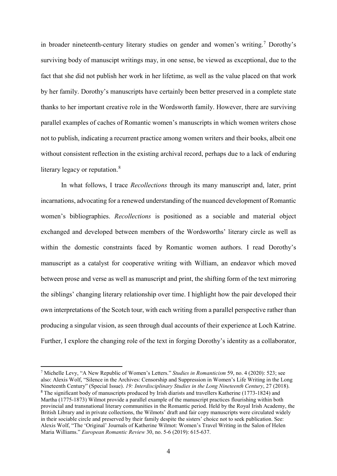in broader nineteenth-century literary studies on gender and women's writing. [7](#page-3-0) Dorothy's surviving body of manuscipt writings may, in one sense, be viewed as exceptional, due to the fact that she did not publish her work in her lifetime, as well as the value placed on that work by her family. Dorothy's manuscripts have certainly been better preserved in a complete state thanks to her important creative role in the Wordsworth family. However, there are surviving parallel examples of caches of Romantic women's manuscripts in which women writers chose not to publish, indicating a recurrent practice among women writers and their books, albeit one without consistent reflection in the existing archival record, perhaps due to a lack of enduring literary legacy or reputation.<sup>[8](#page-3-1)</sup>

In what follows, I trace *Recollections* through its many manuscript and, later, print incarnations, advocating for a renewed understanding of the nuanced development of Romantic women's bibliographies. *Recollections* is positioned as a sociable and material object exchanged and developed between members of the Wordsworths' literary circle as well as within the domestic constraints faced by Romantic women authors. I read Dorothy's manuscript as a catalyst for cooperative writing with William, an endeavor which moved between prose and verse as well as manuscript and print, the shifting form of the text mirroring the siblings' changing literary relationship over time. I highlight how the pair developed their own interpretations of the Scotch tour, with each writing from a parallel perspective rather than producing a singular vision, as seen through dual accounts of their experience at Loch Katrine. Further, I explore the changing role of the text in forging Dorothy's identity as a collaborator,

<span id="page-3-1"></span><span id="page-3-0"></span><sup>7</sup> Michelle Levy, "A New Republic of Women's Letters." *Studies in Romanticism* 59, no. 4 (2020): 523; see also: Alexis Wolf, "Silence in the Archives: Censorship and Suppression in Women's Life Writing in the Long Nineteenth Century" (Special Issue). *19: Interdisciplinary Studies in the Long Nineteenth Century*, 27 (2018). <sup>8</sup> The significant body of manuscripts produced by Irish diarists and travellers Katherine (1773-1824) and Martha (1775-1873) Wilmot provide a parallel example of the manuscript practices flourishing within both provincial and transnational literary communities in the Romantic period. Held by the Royal Irish Academy, the British Library and in private collections, the Wilmots' draft and fair copy manuscripts were circulated widely in their sociable circle and preserved by their family despite the sisters' choice not to seek publication. See: Alexis Wolf, "The 'Original' Journals of Katherine Wilmot: Women's Travel Writing in the Salon of Helen Maria Williams." *European Romantic Review* 30, no. 5-6 (2019): 615-637.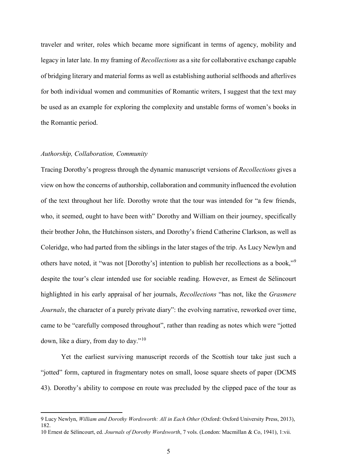traveler and writer, roles which became more significant in terms of agency, mobility and legacy in later late. In my framing of *Recollections* as a site for collaborative exchange capable of bridging literary and material forms as well as establishing authorial selfhoods and afterlives for both individual women and communities of Romantic writers, I suggest that the text may be used as an example for exploring the complexity and unstable forms of women's books in the Romantic period.

## *Authorship, Collaboration, Community*

 $\overline{a}$ 

Tracing Dorothy's progress through the dynamic manuscript versions of *Recollections* gives a view on how the concerns of authorship, collaboration and community influenced the evolution of the text throughout her life. Dorothy wrote that the tour was intended for "a few friends, who, it seemed, ought to have been with" Dorothy and William on their journey, specifically their brother John, the Hutchinson sisters, and Dorothy's friend Catherine Clarkson, as well as Coleridge, who had parted from the siblings in the later stages of the trip. As Lucy Newlyn and others have noted, it "was not [Dorothy's] intention to publish her recollections as a book,"[9](#page-4-0) despite the tour's clear intended use for sociable reading. However, as Ernest de Sélincourt highlighted in his early appraisal of her journals, *Recollections* "has not, like the *Grasmere Journals*, the character of a purely private diary": the evolving narrative, reworked over time, came to be "carefully composed throughout", rather than reading as notes which were "jotted down, like a diary, from day to day."[10](#page-4-1)

Yet the earliest surviving manuscript records of the Scottish tour take just such a "jotted" form, captured in fragmentary notes on small, loose square sheets of paper (DCMS 43). Dorothy's ability to compose en route was precluded by the clipped pace of the tour as

<span id="page-4-0"></span><sup>9</sup> Lucy Newlyn, *William and Dorothy Wordsworth: All in Each Other* (Oxford: Oxford University Press, 2013), 182.

<span id="page-4-1"></span><sup>10</sup> Ernest de Sélincourt, ed. *Journals of Dorothy Wordsworth*, 7 vols. (London: Macmillan & Co, 1941), 1:vii.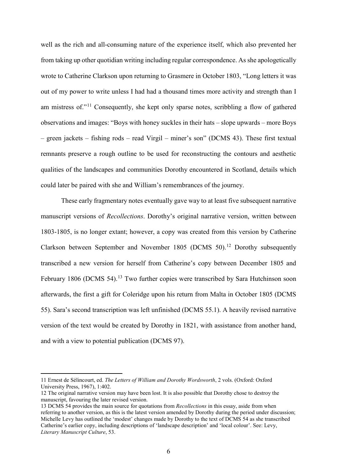well as the rich and all-consuming nature of the experience itself, which also prevented her from taking up other quotidian writing including regular correspondence. As she apologetically wrote to Catherine Clarkson upon returning to Grasmere in October 1803, "Long letters it was out of my power to write unless I had had a thousand times more activity and strength than I am mistress of."<sup>[11](#page-5-0)</sup> Consequently, she kept only sparse notes, scribbling a flow of gathered observations and images: "Boys with honey suckles in their hats – slope upwards – more Boys – green jackets – fishing rods – read Virgil – miner's son" (DCMS 43). These first textual remnants preserve a rough outline to be used for reconstructing the contours and aesthetic qualities of the landscapes and communities Dorothy encountered in Scotland, details which could later be paired with she and William's remembrances of the journey.

These early fragmentary notes eventually gave way to at least five subsequent narrative manuscript versions of *Recollections*. Dorothy's original narrative version, written between 1803-1805, is no longer extant; however, a copy was created from this version by Catherine Clarkson between September and November 1805 (DCMS 50).<sup>[12](#page-5-1)</sup> Dorothy subsequently transcribed a new version for herself from Catherine's copy between December 1805 and February 1806 (DCMS 54).<sup>[13](#page-5-2)</sup> Two further copies were transcribed by Sara Hutchinson soon afterwards, the first a gift for Coleridge upon his return from Malta in October 1805 (DCMS 55). Sara's second transcription was left unfinished (DCMS 55.1). A heavily revised narrative version of the text would be created by Dorothy in 1821, with assistance from another hand, and with a view to potential publication (DCMS 97).

<span id="page-5-0"></span><sup>11</sup> Ernest de Sélincourt, ed. *The Letters of William and Dorothy Wordsworth*, 2 vols. (Oxford: Oxford University Press, 1967), 1:402.

<span id="page-5-1"></span><sup>12</sup> The original narrative version may have been lost. It is also possible that Dorothy chose to destroy the manuscript, favouring the later revised version.

<span id="page-5-2"></span><sup>13</sup> DCMS 54 provides the main source for quotations from *Recollections* in this essay, aside from when referring to another version, as this is the latest version amended by Dorothy during the period under discussion; Michelle Levy has outlined the 'modest' changes made by Dorothy to the text of DCMS 54 as she transcribed Catherine's earlier copy, including descriptions of 'landscape description' and 'local colour'. See: Levy, *Literary Manuscript Culture*, 53.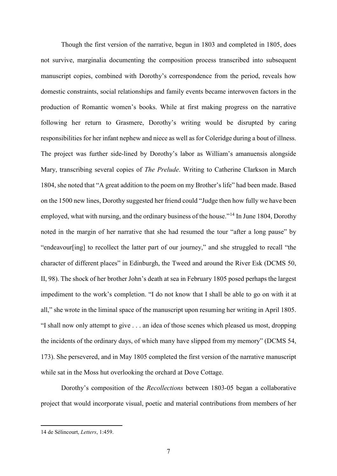Though the first version of the narrative, begun in 1803 and completed in 1805, does not survive, marginalia documenting the composition process transcribed into subsequent manuscript copies, combined with Dorothy's correspondence from the period, reveals how domestic constraints, social relationships and family events became interwoven factors in the production of Romantic women's books. While at first making progress on the narrative following her return to Grasmere, Dorothy's writing would be disrupted by caring responsibilities for her infant nephew and niece as well as for Coleridge during a bout of illness. The project was further side-lined by Dorothy's labor as William's amanuensis alongside Mary, transcribing several copies of *The Prelude*. Writing to Catherine Clarkson in March 1804, she noted that "A great addition to the poem on my Brother's life" had been made. Based on the 1500 new lines, Dorothy suggested her friend could "Judge then how fully we have been employed, what with nursing, and the ordinary business of the house."<sup>[14](#page-6-0)</sup> In June 1804, Dorothy noted in the margin of her narrative that she had resumed the tour "after a long pause" by "endeavour[ing] to recollect the latter part of our journey," and she struggled to recall "the character of different places" in Edinburgh, the Tweed and around the River Esk (DCMS 50, II, 98). The shock of her brother John's death at sea in February 1805 posed perhaps the largest impediment to the work's completion. "I do not know that I shall be able to go on with it at all," she wrote in the liminal space of the manuscript upon resuming her writing in April 1805. "I shall now only attempt to give . . . an idea of those scenes which pleased us most, dropping the incidents of the ordinary days, of which many have slipped from my memory" (DCMS 54, 173). She persevered, and in May 1805 completed the first version of the narrative manuscript while sat in the Moss hut overlooking the orchard at Dove Cottage.

Dorothy's composition of the *Recollections* between 1803-05 began a collaborative project that would incorporate visual, poetic and material contributions from members of her

<span id="page-6-0"></span><sup>14</sup> de Sélincourt, *Letters*, 1:459.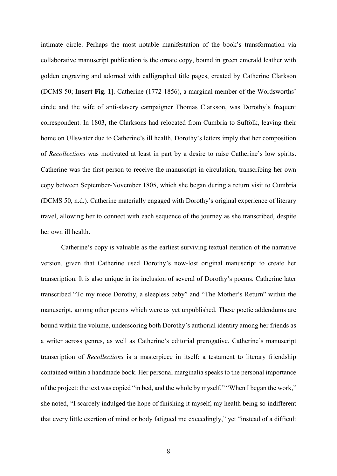intimate circle. Perhaps the most notable manifestation of the book's transformation via collaborative manuscript publication is the ornate copy, bound in green emerald leather with golden engraving and adorned with calligraphed title pages, created by Catherine Clarkson (DCMS 50; **Insert Fig. 1**]. Catherine (1772-1856), a marginal member of the Wordsworths' circle and the wife of anti-slavery campaigner Thomas Clarkson, was Dorothy's frequent correspondent. In 1803, the Clarksons had relocated from Cumbria to Suffolk, leaving their home on Ullswater due to Catherine's ill health. Dorothy's letters imply that her composition of *Recollections* was motivated at least in part by a desire to raise Catherine's low spirits. Catherine was the first person to receive the manuscript in circulation, transcribing her own copy between September-November 1805, which she began during a return visit to Cumbria (DCMS 50, n.d.). Catherine materially engaged with Dorothy's original experience of literary travel, allowing her to connect with each sequence of the journey as she transcribed, despite her own ill health.

Catherine's copy is valuable as the earliest surviving textual iteration of the narrative version, given that Catherine used Dorothy's now-lost original manuscript to create her transcription. It is also unique in its inclusion of several of Dorothy's poems. Catherine later transcribed "To my niece Dorothy, a sleepless baby" and "The Mother's Return" within the manuscript, among other poems which were as yet unpublished. These poetic addendums are bound within the volume, underscoring both Dorothy's authorial identity among her friends as a writer across genres, as well as Catherine's editorial prerogative. Catherine's manuscript transcription of *Recollections* is a masterpiece in itself: a testament to literary friendship contained within a handmade book. Her personal marginalia speaks to the personal importance of the project: the text was copied "in bed, and the whole by myself." "When I began the work," she noted, "I scarcely indulged the hope of finishing it myself, my health being so indifferent that every little exertion of mind or body fatigued me exceedingly," yet "instead of a difficult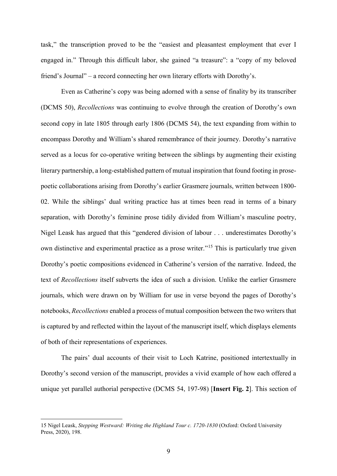task," the transcription proved to be the "easiest and pleasantest employment that ever I engaged in." Through this difficult labor, she gained "a treasure": a "copy of my beloved friend's Journal" – a record connecting her own literary efforts with Dorothy's.

Even as Catherine's copy was being adorned with a sense of finality by its transcriber (DCMS 50), *Recollections* was continuing to evolve through the creation of Dorothy's own second copy in late 1805 through early 1806 (DCMS 54), the text expanding from within to encompass Dorothy and William's shared remembrance of their journey. Dorothy's narrative served as a locus for co-operative writing between the siblings by augmenting their existing literary partnership, a long-established pattern of mutual inspiration that found footing in prosepoetic collaborations arising from Dorothy's earlier Grasmere journals, written between 1800- 02. While the siblings' dual writing practice has at times been read in terms of a binary separation, with Dorothy's feminine prose tidily divided from William's masculine poetry, Nigel Leask has argued that this "gendered division of labour . . . underestimates Dorothy's own distinctive and experimental practice as a prose writer."[15](#page-8-0) This is particularly true given Dorothy's poetic compositions evidenced in Catherine's version of the narrative. Indeed, the text of *Recollections* itself subverts the idea of such a division. Unlike the earlier Grasmere journals, which were drawn on by William for use in verse beyond the pages of Dorothy's notebooks, *Recollections* enabled a process of mutual composition between the two writers that is captured by and reflected within the layout of the manuscript itself, which displays elements of both of their representations of experiences.

The pairs' dual accounts of their visit to Loch Katrine, positioned intertextually in Dorothy's second version of the manuscript, provides a vivid example of how each offered a unique yet parallel authorial perspective (DCMS 54, 197-98) [**Insert Fig. 2**]. This section of

<span id="page-8-0"></span><sup>15</sup> Nigel Leask, *Stepping Westward: Writing the Highland Tour c. 1720-1830* (Oxford: Oxford University Press, 2020), 198.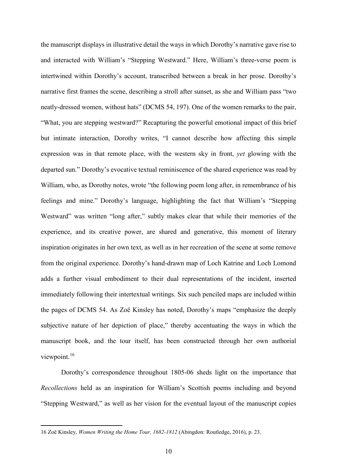the manuscript displays in illustrative detail the ways in which Dorothy's narrative gave rise to and interacted with William's "Stepping Westward." Here, William's three-verse poem is intertwined within Dorothy's account, transcribed between a break in her prose. Dorothy's narrative first frames the scene, describing a stroll after sunset, as she and William pass "two neatly-dressed women, without hats" (DCMS 54, 197). One of the women remarks to the pair, "What, you are stepping westward?" Recapturing the powerful emotional impact of this brief but intimate interaction, Dorothy writes, "I cannot describe how affecting this simple expression was in that remote place, with the western sky in front, *yet* glowing with the departed sun." Dorothy's evocative textual reminiscence of the shared experience was read by William, who, as Dorothy notes, wrote "the following poem long after, in remembrance of his feelings and mine." Dorothy's language, highlighting the fact that William's "Stepping Westward" was written "long after," subtly makes clear that while their memories of the experience, and its creative power, are shared and generative, this moment of literary inspiration originates in her own text, as well as in her recreation of the scene at some remove from the original experience. Dorothy's hand-drawn map of Loch Katrine and Loch Lomond adds a further visual embodiment to their dual representations of the incident, inserted immediately following their intertextual writings. Six such penciled maps are included within the pages of DCMS 54. As Zoë Kinsley has noted, Dorothy's maps "emphasize the deeply subjective nature of her depiction of place," thereby accentuating the ways in which the manuscript book, and the tour itself, has been constructed through her own authorial viewpoint.<sup>[16](#page-9-0)</sup>

Dorothy's correspondence throughout 1805-06 sheds light on the importance that *Recollections* held as an inspiration for William's Scottish poems including and beyond "Stepping Westward," as well as her vision for the eventual layout of the manuscript copies

<span id="page-9-0"></span><sup>16</sup> Zoë Kinsley, *Women Writing the Home Tour, 1682-1812* (Abingdon: Routledge, 2016), p. 23.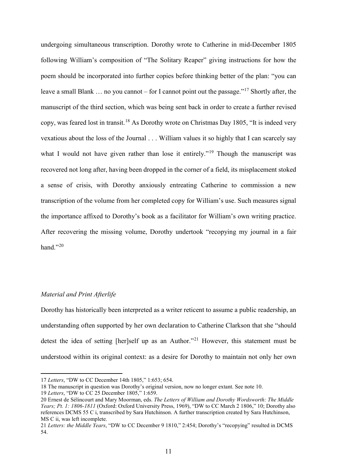undergoing simultaneous transcription. Dorothy wrote to Catherine in mid-December 1805 following William's composition of "The Solitary Reaper" giving instructions for how the poem should be incorporated into further copies before thinking better of the plan: "you can leave a small Blank ... no you cannot – for I cannot point out the passage."<sup>[17](#page-10-0)</sup> Shortly after, the manuscript of the third section, which was being sent back in order to create a further revised copy, was feared lost in transit.<sup>[18](#page-10-1)</sup> As Dorothy wrote on Christmas Day 1805, "It is indeed very vexatious about the loss of the Journal . . . William values it so highly that I can scarcely say what I would not have given rather than lose it entirely."<sup>[19](#page-10-2)</sup> Though the manuscript was recovered not long after, having been dropped in the corner of a field, its misplacement stoked a sense of crisis, with Dorothy anxiously entreating Catherine to commission a new transcription of the volume from her completed copy for William's use. Such measures signal the importance affixed to Dorothy's book as a facilitator for William's own writing practice. After recovering the missing volume, Dorothy undertook "recopying my journal in a fair hand." $^{20}$  $^{20}$  $^{20}$ 

## *Material and Print Afterlife*

 $\overline{a}$ 

Dorothy has historically been interpreted as a writer reticent to assume a public readership, an understanding often supported by her own declaration to Catherine Clarkson that she "should detest the idea of setting [her]self up as an Author."<sup>[21](#page-10-4)</sup> However, this statement must be understood within its original context: as a desire for Dorothy to maintain not only her own

<span id="page-10-0"></span><sup>17</sup> *Letters*, "DW to CC December 14th 1805," 1:653; 654.

<span id="page-10-1"></span><sup>18</sup> The manuscript in question was Dorothy's original version, now no longer extant. See note 10.

<span id="page-10-2"></span><sup>19</sup> *Letters*, "DW to CC 25 December 1805," 1:659.

<span id="page-10-3"></span><sup>20</sup> Ernest de Sélincourt and Mary Moorman, eds. *The Letters of William and Dorothy Wordsworth: The Middle Years; Pt. 1: 1806-1811* (Oxford: Oxford University Press, 1969), "DW to CC March 2 1806," 10; Dorothy also references DCMS 55 C i, transcribed by Sara Hutchinson. A further transcription created by Sara Hutchinson, MS C ii, was left incomplete.

<span id="page-10-4"></span><sup>21</sup> *Letters: the Middle Years*, "DW to CC December 9 1810," 2:454; Dorothy's "recopying" resulted in DCMS 54.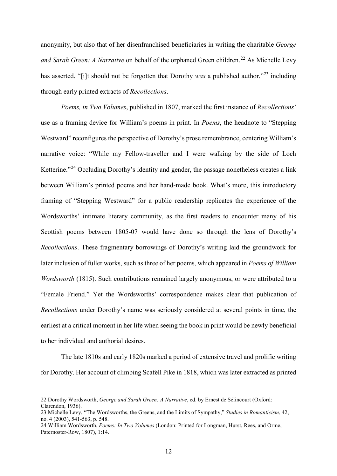anonymity, but also that of her disenfranchised beneficiaries in writing the charitable *George and Sarah Green: A Narrative* on behalf of the orphaned Green children.<sup>[22](#page-11-0)</sup> As Michelle Levy has asserted, "[i]t should not be forgotten that Dorothy *was* a published author,"[23](#page-11-1) including through early printed extracts of *Recollections*.

*Poems, in Two Volumes*, published in 1807, marked the first instance of *Recollections*' use as a framing device for William's poems in print. In *Poems*, the headnote to "Stepping Westward" reconfigures the perspective of Dorothy's prose remembrance, centering William's narrative voice: "While my Fellow-traveller and I were walking by the side of Loch Ketterine."<sup>[24](#page-11-2)</sup> Occluding Dorothy's identity and gender, the passage nonetheless creates a link between William's printed poems and her hand-made book. What's more, this introductory framing of "Stepping Westward" for a public readership replicates the experience of the Wordsworths' intimate literary community, as the first readers to encounter many of his Scottish poems between 1805-07 would have done so through the lens of Dorothy's *Recollections*. These fragmentary borrowings of Dorothy's writing laid the groundwork for later inclusion of fuller works, such as three of her poems, which appeared in *Poems of William Wordsworth* (1815). Such contributions remained largely anonymous, or were attributed to a "Female Friend." Yet the Wordsworths' correspondence makes clear that publication of *Recollections* under Dorothy's name was seriously considered at several points in time, the earliest at a critical moment in her life when seeing the book in print would be newly beneficial to her individual and authorial desires.

The late 1810s and early 1820s marked a period of extensive travel and prolific writing for Dorothy. Her account of climbing Scafell Pike in 1818, which was later extracted as printed

<span id="page-11-0"></span><sup>22</sup> Dorothy Wordsworth, *George and Sarah Green: A Narrative*, ed. by Ernest de Sélincourt (Oxford: Clarendon, 1936).

<span id="page-11-1"></span><sup>23</sup> Michelle Levy, "The Wordsworths, the Greens, and the Limits of Sympathy," *Studies in Romanticism*, 42, no. 4 (2003), 541-563, p. 548.

<span id="page-11-2"></span><sup>24</sup> William Wordsworth, *Poems: In Two Volumes* (London: Printed for Longman, Hurst, Rees, and Orme, Paternoster-Row, 1807), 1:14.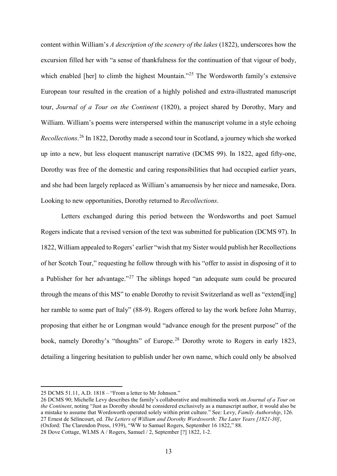content within William's *A description of the scenery of the lakes* (1822), underscores how the excursion filled her with "a sense of thankfulness for the continuation of that vigour of body, which enabled [her] to climb the highest Mountain."<sup>[25](#page-12-0)</sup> The Wordsworth family's extensive European tour resulted in the creation of a highly polished and extra-illustrated manuscript tour, *Journal of a Tour on the Continent* (1820), a project shared by Dorothy, Mary and William. William's poems were interspersed within the manuscript volume in a style echoing *Recollections*. [26](#page-12-1) In 1822, Dorothy made a second tour in Scotland, a journey which she worked up into a new, but less eloquent manuscript narrative (DCMS 99). In 1822, aged fifty-one, Dorothy was free of the domestic and caring responsibilities that had occupied earlier years, and she had been largely replaced as William's amanuensis by her niece and namesake, Dora. Looking to new opportunities, Dorothy returned to *Recollections*.

Letters exchanged during this period between the Wordsworths and poet Samuel Rogers indicate that a revised version of the text was submitted for publication (DCMS 97). In 1822, William appealed to Rogers' earlier "wish that my Sister would publish her Recollections of her Scotch Tour," requesting he follow through with his "offer to assist in disposing of it to a Publisher for her advantage."<sup>[27](#page-12-2)</sup> The siblings hoped "an adequate sum could be procured through the means of this MS" to enable Dorothy to revisit Switzerland as well as "extend[ing] her ramble to some part of Italy" (88-9). Rogers offered to lay the work before John Murray, proposing that either he or Longman would "advance enough for the present purpose" of the book, namely Dorothy's "thoughts" of Europe.<sup>[28](#page-12-3)</sup> Dorothy wrote to Rogers in early 1823, detailing a lingering hesitation to publish under her own name, which could only be absolved

<span id="page-12-0"></span><sup>25</sup> DCMS 51.11, A.D. 1818 – "From a letter to Mr Johnson."

<span id="page-12-1"></span><sup>26</sup> DCMS 90; Michelle Levy describes the family's collaborative and multimedia work on *Journal of a Tour on the Continent*, noting "Just as Dorothy should be considered exclusively as a manuscript author, it would also be a mistake to assume that Wordsworth operated solely within print culture." See: Levy, *Family Authorship*, 126. 27 Ernest de Sélincourt, ed. *The Letters of William and Dorothy Wordsworth: The Later Years [1821-30]*, (Oxford: The Clarendon Press, 1939), "WW to Samuel Rogers, September 16 1822," 88.

<span id="page-12-3"></span><span id="page-12-2"></span><sup>28</sup> Dove Cottage, WLMS A / Rogers, Samuel / 2, September [?] 1822, 1-2.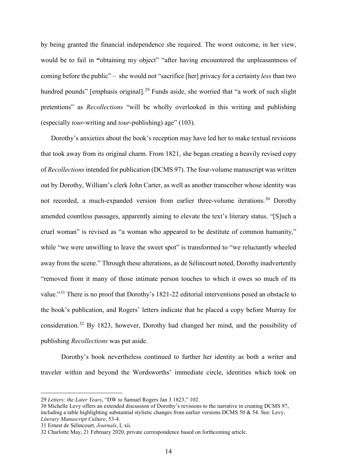by being granted the financial independence she required. The worst outcome, in her view, would be to fail in **"**obtaining my object" "after having encountered the unpleasantness of coming before the public" – she would not "sacrifice [her] privacy for a certainty *less* than two hundred pounds" [emphasis original].<sup>[29](#page-13-0)</sup> Funds aside, she worried that "a work of such slight pretentions" as *Recollections* "will be wholly overlooked in this writing and publishing (especially *tour*-writing and *tour*-publishing) age" (103).

Dorothy's anxieties about the book's reception may have led her to make textual revisions that took away from its original charm. From 1821, she began creating a heavily revised copy of *Recollections*intended for publication (DCMS 97). The four-volume manuscript was written out by Dorothy, William's clerk John Carter, as well as another transcriber whose identity was not recorded, a much-expanded version from earlier three-volume iterations.<sup>[30](#page-13-1)</sup> Dorothy amended countless passages, apparently aiming to elevate the text's literary status. "[S]uch a cruel woman" is revised as "a woman who appeared to be destitute of common humanity," while "we were unwilling to leave the sweet spot" is transformed to "we reluctantly wheeled away from the scene." Through these alterations, as de Sélincourt noted, Dorothy inadvertently "removed from it many of those intimate person touches to which it owes so much of its value."[31](#page-13-2) There is no proof that Dorothy's 1821-22 editorial interventions posed an obstacle to the book's publication, and Rogers' letters indicate that he placed a copy before Murray for consideration.[32](#page-13-3) By 1823, however, Dorothy had changed her mind, and the possibility of publishing *Recollections* was put aside.

Dorothy's book nevertheless continued to further her identity as both a writer and traveler within and beyond the Wordsworths' immediate circle, identities which took on

<span id="page-13-0"></span><sup>29</sup> *Letters: the Later Years*, "DW to Samuel Rogers Jan 3 1823," 102.

<span id="page-13-1"></span><sup>30</sup> Michelle Levy offers an extended discussion of Dorothy's revisions to the narrative in creating DCMS 97, including a table highlighting substantial stylistic changes from earlier versions DCMS 50 & 54. See: Levy, *Literary Manuscript Culture*, 53-4.

<span id="page-13-2"></span><sup>31</sup> Ernest de Sélincourt, *Journals*, I, xii.

<span id="page-13-3"></span><sup>32</sup> Charlotte May, 21 February 2020, private correspondence based on forthcoming article.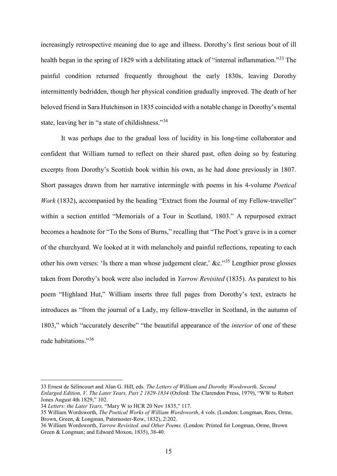increasingly retrospective meaning due to age and illness. Dorothy's first serious bout of ill health began in the spring of 1829 with a debilitating attack of "internal inflammation."<sup>[33](#page-14-0)</sup> The painful condition returned frequently throughout the early 1830s, leaving Dorothy intermittently bedridden, though her physical condition gradually improved. The death of her beloved friend in Sara Hutchinson in 1835 coincided with a notable change in Dorothy's mental state, leaving her in "a state of childishness."<sup>[34](#page-14-1)</sup>

It was perhaps due to the gradual loss of lucidity in his long-time collaborator and confident that William turned to reflect on their shared past, often doing so by featuring excerpts from Dorothy's Scottish book within his own, as he had done previously in 1807. Short passages drawn from her narrative intermingle with poems in his 4-volume *Poetical Work* (1832), accompanied by the heading "Extract from the Journal of my Fellow-traveller" within a section entitled "Memorials of a Tour in Scotland, 1803." A repurposed extract becomes a headnote for "To the Sons of Burns," recalling that "The Poet's grave is in a corner of the churchyard. We looked at it with melancholy and painful reflections, repeating to each other his own verses: 'Is there a man whose judgement clear,' &c."[35](#page-14-2) Lengthier prose glosses taken from Dorothy's book were also included in *Yarrow Revisited* (1835). As paratext to his poem "Highland Hut," William inserts three full pages from Dorothy's text, extracts he introduces as "from the journal of a Lady, my fellow-traveller in Scotland, in the autumn of 1803," which "accurately describe" "the beautiful appearance of the *interior* of one of these rude habitations."[36](#page-14-3)

<span id="page-14-0"></span><sup>33</sup> Ernest de Sélincourt and Alan G. Hill, eds. *The Letters of William and Dorothy Wordsworth, Second Enlarged Edition, V. The Later Years, Part 2 1829-1834* (Oxford: The Clarendon Press, 1979), "WW to Robert Jones August 4th 1829," 102.

<span id="page-14-1"></span><sup>34</sup> *Letters: the Later Years,* "Mary W to HCR 20 Nov 1835," 117.

<span id="page-14-2"></span><sup>35</sup> William Wordsworth, *The Poetical Works of William Wordsworth*, 4 vols. (London: Longman, Rees, Orme, Brown, Green, & Longman, Paternoster-Row, 1832), 2:202.

<span id="page-14-3"></span><sup>36</sup> William Wordsworth, *Yarrow Revisited. and Other Poems.* (London: Printed for Longman, Orme, Brown Green & Longman; and Edward Moxon, 1835), 38-40.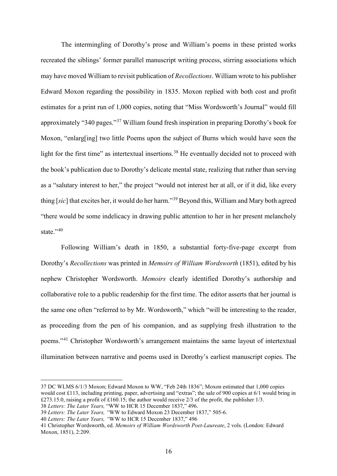The intermingling of Dorothy's prose and William's poems in these printed works recreated the siblings' former parallel manuscript writing process, stirring associations which may have moved William to revisit publication of *Recollections*. William wrote to his publisher Edward Moxon regarding the possibility in 1835. Moxon replied with both cost and profit estimates for a print run of 1,000 copies, noting that "Miss Wordsworth's Journal" would fill approximately "340 pages."[37](#page-15-0) William found fresh inspiration in preparing Dorothy's book for Moxon, "enlarg[ing] two little Poems upon the subject of Burns which would have seen the light for the first time" as intertextual insertions.<sup>[38](#page-15-1)</sup> He eventually decided not to proceed with the book's publication due to Dorothy's delicate mental state, realizing that rather than serving as a "salutary interest to her," the project "would not interest her at all, or if it did, like every thing [*sic*] that excites her, it would do her harm."[39](#page-15-2) Beyond this, William and Mary both agreed "there would be some indelicacy in drawing public attention to her in her present melancholy state."<sup>[40](#page-15-3)</sup>

Following William's death in 1850, a substantial forty-five-page excerpt from Dorothy's *Recollections* was printed in *Memoirs of William Wordsworth* (1851), edited by his nephew Christopher Wordsworth. *Memoirs* clearly identified Dorothy's authorship and collaborative role to a public readership for the first time. The editor asserts that her journal is the same one often "referred to by Mr. Wordsworth," which "will be interesting to the reader, as proceeding from the pen of his companion, and as supplying fresh illustration to the poems."[41](#page-15-4) Christopher Wordsworth's arrangement maintains the same layout of intertextual illumination between narrative and poems used in Dorothy's earliest manuscript copies. The

<span id="page-15-0"></span><sup>37</sup> DC WLMS 6/1/3 Moxon; Edward Moxon to WW, "Feb 24th 1836"; Moxon estimated that 1,000 copies would cost £113, including printing, paper, advertising and "extras"; the sale of 900 copies at 6/1 would bring in £273.15.0, raising a profit of £160.15; the author would receive 2/3 of the profit, the publisher 1/3. 38 *Letters: The Later Years,* "WW to HCR 15 December 1837," 496.

<span id="page-15-2"></span><span id="page-15-1"></span><sup>39</sup> *Letters: The Later Years, "*WW to Edward Moxon 23 December 1837," 505-6.

<span id="page-15-3"></span><sup>40</sup> *Letters: The Later Years, "*WW to HCR 15 December 1837," 496

<span id="page-15-4"></span><sup>41</sup> Christopher Wordsworth, ed. *Memoirs of William Wordsworth Poet-Laureate*, 2 vols. (London: Edward Moxon, 1851), 2:209.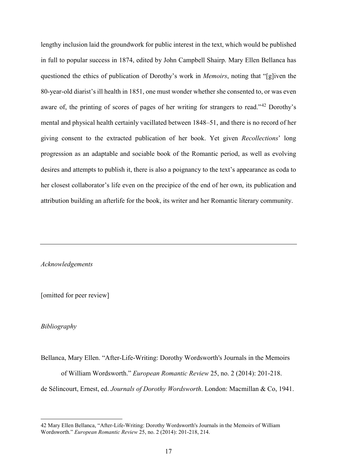lengthy inclusion laid the groundwork for public interest in the text, which would be published in full to popular success in 1874, edited by John Campbell Shairp. Mary Ellen Bellanca has questioned the ethics of publication of Dorothy's work in *Memoirs*, noting that "[g]iven the 80-year-old diarist's ill health in 1851, one must wonder whether she consented to, or was even aware of, the printing of scores of pages of her writing for strangers to read."<sup>[42](#page-16-0)</sup> Dorothy's mental and physical health certainly vacillated between 1848–51, and there is no record of her giving consent to the extracted publication of her book. Yet given *Recollections*' long progression as an adaptable and sociable book of the Romantic period, as well as evolving desires and attempts to publish it, there is also a poignancy to the text's appearance as coda to her closest collaborator's life even on the precipice of the end of her own, its publication and attribution building an afterlife for the book, its writer and her Romantic literary community.

*Acknowledgements*

[omitted for peer review]

## *Bibliography*

 $\overline{a}$ 

Bellanca, Mary Ellen. "After-Life-Writing: Dorothy Wordsworth's Journals in the Memoirs of William Wordsworth." *European Romantic Review* 25, no. 2 (2014): 201-218. de Sélincourt, Ernest, ed. *Journals of Dorothy Wordsworth*. London: Macmillan & Co, 1941.

<span id="page-16-0"></span><sup>42</sup> Mary Ellen Bellanca, "After-Life-Writing: Dorothy Wordsworth's Journals in the Memoirs of William Wordsworth." *European Romantic Review* 25, no. 2 (2014): 201-218, 214.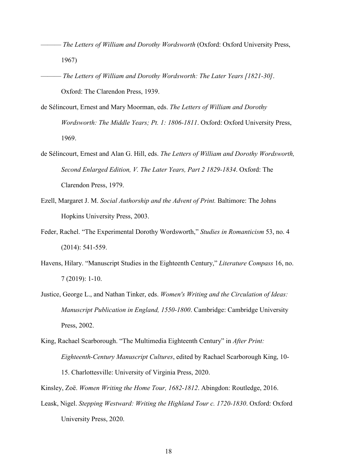- ——— *The Letters of William and Dorothy Wordsworth* (Oxford: Oxford University Press, 1967)
- ——— *The Letters of William and Dorothy Wordsworth: The Later Years [1821-30]*. Oxford: The Clarendon Press, 1939.
- de Sélincourt, Ernest and Mary Moorman, eds. *The Letters of William and Dorothy Wordsworth: The Middle Years; Pt. 1: 1806-1811*. Oxford: Oxford University Press, 1969.
- de Sélincourt, Ernest and Alan G. Hill, eds. *The Letters of William and Dorothy Wordsworth, Second Enlarged Edition, V. The Later Years, Part 2 1829-1834*. Oxford: The Clarendon Press, 1979.
- Ezell, Margaret J. M. *Social Authorship and the Advent of Print.* Baltimore: The Johns Hopkins University Press, 2003.
- Feder, Rachel. "The Experimental Dorothy Wordsworth," *Studies in Romanticism* 53, no. 4 (2014): 541-559.
- Havens, Hilary. "Manuscript Studies in the Eighteenth Century," *Literature Compass* 16, no. 7 (2019): 1-10.
- Justice, George L., and Nathan Tinker, eds. *Women's Writing and the Circulation of Ideas: Manuscript Publication in England, 1550-1800*. Cambridge: Cambridge University Press, 2002.
- King, Rachael Scarborough. "The Multimedia Eighteenth Century" in *After Print: Eighteenth-Century Manuscript Cultures*, edited by Rachael Scarborough King, 10- 15. Charlottesville: University of Virginia Press, 2020.
- Kinsley, Zoë. *Women Writing the Home Tour, 1682-1812*. Abingdon: Routledge, 2016.
- Leask, Nigel. *Stepping Westward: Writing the Highland Tour c. 1720-1830*. Oxford: Oxford University Press, 2020.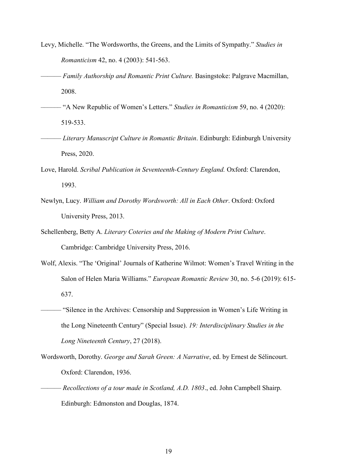- Levy, Michelle. "The Wordsworths, the Greens, and the Limits of Sympathy." *Studies in Romanticism* 42, no. 4 (2003): 541-563.
- ——— *Family Authorship and Romantic Print Culture.* Basingstoke: Palgrave Macmillan, 2008.
- –––––– "A New Republic of Women's Letters." *Studies in Romanticism* 59, no. 4 (2020): 519-533.
- ——— *Literary Manuscript Culture in Romantic Britain*. Edinburgh: Edinburgh University Press, 2020.
- Love, Harold. *Scribal Publication in Seventeenth-Century England.* Oxford: Clarendon, 1993.
- Newlyn, Lucy. *William and Dorothy Wordsworth: All in Each Other*. Oxford: Oxford University Press, 2013.
- Schellenberg, Betty A. *Literary Coteries and the Making of Modern Print Culture*. Cambridge: Cambridge University Press, 2016.
- Wolf, Alexis. "The 'Original' Journals of Katherine Wilmot: Women's Travel Writing in the Salon of Helen Maria Williams." *European Romantic Review* 30, no. 5-6 (2019): 615- 637.
- ——— "Silence in the Archives: Censorship and Suppression in Women's Life Writing in the Long Nineteenth Century" (Special Issue). *19: Interdisciplinary Studies in the Long Nineteenth Century*, 27 (2018).
- Wordsworth, Dorothy. *George and Sarah Green: A Narrative*, ed. by Ernest de Sélincourt. Oxford: Clarendon, 1936.
- ——— *Recollections of a tour made in Scotland, A.D. 1803*., ed. John Campbell Shairp. Edinburgh: Edmonston and Douglas, 1874.